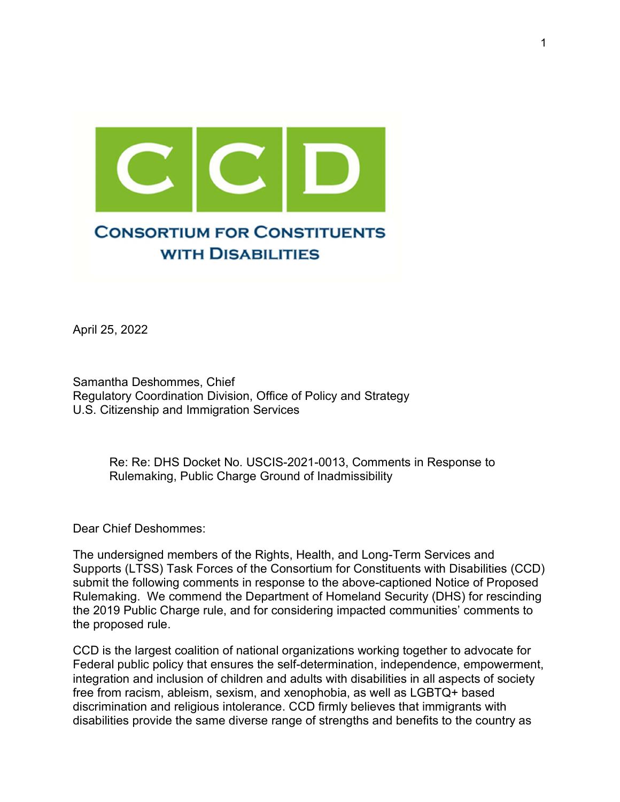

April 25, 2022

Samantha Deshommes, Chief Regulatory Coordination Division, Office of Policy and Strategy U.S. Citizenship and Immigration Services

> Re: Re: DHS Docket No. USCIS-2021-0013, Comments in Response to Rulemaking, Public Charge Ground of Inadmissibility

Dear Chief Deshommes:

The undersigned members of the Rights, Health, and Long-Term Services and Supports (LTSS) Task Forces of the Consortium for Constituents with Disabilities (CCD) submit the following comments in response to the above-captioned Notice of Proposed Rulemaking. We commend the Department of Homeland Security (DHS) for rescinding the 2019 Public Charge rule, and for considering impacted communities' comments to the proposed rule.

CCD is the largest coalition of national organizations working together to advocate for Federal public policy that ensures the self-determination, independence, empowerment, integration and inclusion of children and adults with disabilities in all aspects of society free from racism, ableism, sexism, and xenophobia, as well as LGBTQ+ based discrimination and religious intolerance. CCD firmly believes that immigrants with disabilities provide the same diverse range of strengths and benefits to the country as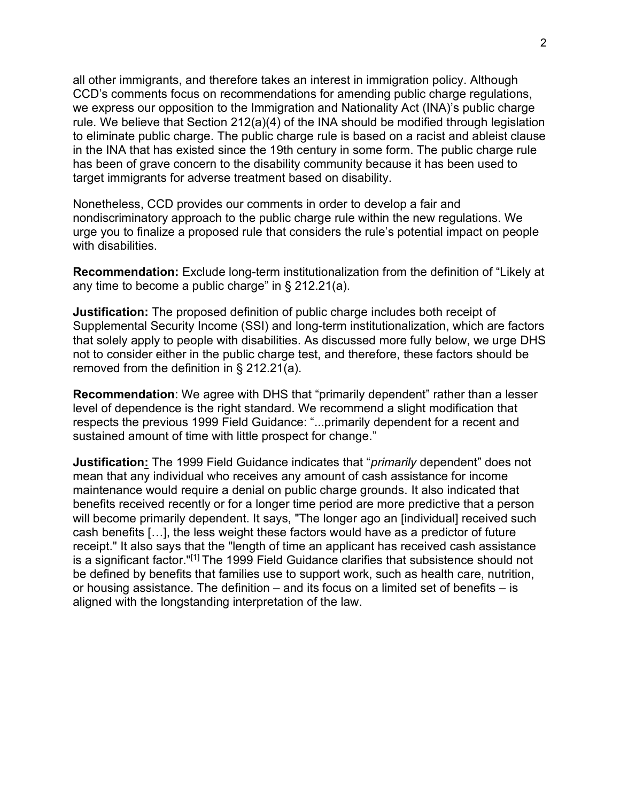all other immigrants, and therefore takes an interest in immigration policy. Although CCD's comments focus on recommendations for amending public charge regulations, we express our opposition to the Immigration and Nationality Act (INA)'s public charge rule. We believe that Section 212(a)(4) of the INA should be modified through legislation to eliminate public charge. The public charge rule is based on a racist and ableist clause in the INA that has existed since the 19th century in some form. The public charge rule has been of grave concern to the disability community because it has been used to target immigrants for adverse treatment based on disability.

Nonetheless, CCD provides our comments in order to develop a fair and nondiscriminatory approach to the public charge rule within the new regulations. We urge you to finalize a proposed rule that considers the rule's potential impact on people with disabilities.

Recommendation: Exclude long-term institutionalization from the definition of "Likely at any time to become a public charge" in § 212.21(a).

**Justification:** The proposed definition of public charge includes both receipt of Supplemental Security Income (SSI) and long-term institutionalization, which are factors that solely apply to people with disabilities. As discussed more fully below, we urge DHS not to consider either in the public charge test, and therefore, these factors should be removed from the definition in § 212.21(a).

Recommendation: We agree with DHS that "primarily dependent" rather than a lesser level of dependence is the right standard. We recommend a slight modification that respects the previous 1999 Field Guidance: "...primarily dependent for a recent and sustained amount of time with little prospect for change."

Justification: The 1999 Field Guidance indicates that "primarily dependent" does not mean that any individual who receives any amount of cash assistance for income maintenance would require a denial on public charge grounds. It also indicated that benefits received recently or for a longer time period are more predictive that a person will become primarily dependent. It says, "The longer ago an [individual] received such cash benefits […], the less weight these factors would have as a predictor of future receipt." It also says that the "length of time an applicant has received cash assistance is a significant factor."[1] The 1999 Field Guidance clarifies that subsistence should not be defined by benefits that families use to support work, such as health care, nutrition, or housing assistance. The definition – and its focus on a limited set of benefits – is aligned with the longstanding interpretation of the law.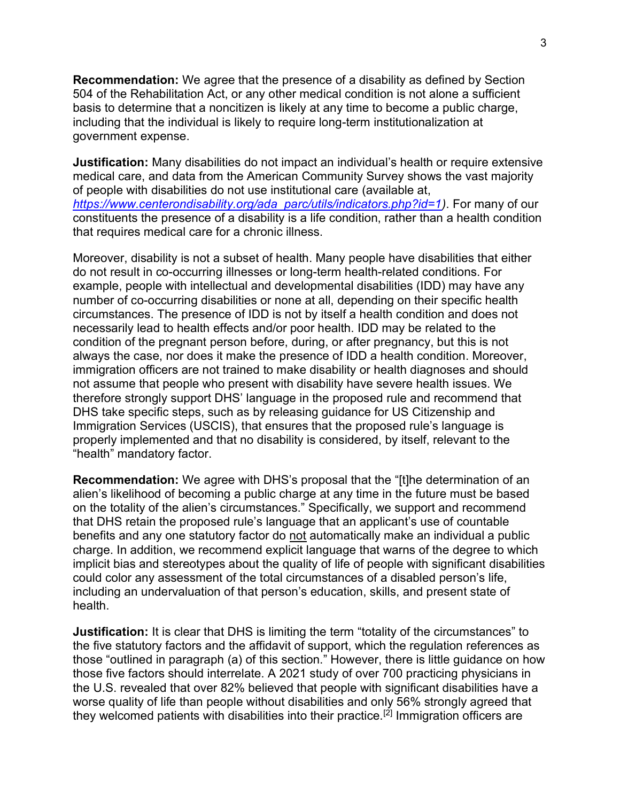Recommendation: We agree that the presence of a disability as defined by Section 504 of the Rehabilitation Act, or any other medical condition is not alone a sufficient basis to determine that a noncitizen is likely at any time to become a public charge, including that the individual is likely to require long-term institutionalization at government expense.

**Justification:** Many disabilities do not impact an individual's health or require extensive medical care, and data from the American Community Survey shows the vast majority of people with disabilities do not use institutional care (available at, https://www.centerondisability.org/ada\_parc/utils/indicators.php?id=1). For many of our constituents the presence of a disability is a life condition, rather than a health condition that requires medical care for a chronic illness.

Moreover, disability is not a subset of health. Many people have disabilities that either do not result in co-occurring illnesses or long-term health-related conditions. For example, people with intellectual and developmental disabilities (IDD) may have any number of co-occurring disabilities or none at all, depending on their specific health circumstances. The presence of IDD is not by itself a health condition and does not necessarily lead to health effects and/or poor health. IDD may be related to the condition of the pregnant person before, during, or after pregnancy, but this is not always the case, nor does it make the presence of IDD a health condition. Moreover, immigration officers are not trained to make disability or health diagnoses and should not assume that people who present with disability have severe health issues. We therefore strongly support DHS' language in the proposed rule and recommend that DHS take specific steps, such as by releasing guidance for US Citizenship and Immigration Services (USCIS), that ensures that the proposed rule's language is properly implemented and that no disability is considered, by itself, relevant to the "health" mandatory factor.

Recommendation: We agree with DHS's proposal that the "[t]he determination of an alien's likelihood of becoming a public charge at any time in the future must be based on the totality of the alien's circumstances." Specifically, we support and recommend that DHS retain the proposed rule's language that an applicant's use of countable benefits and any one statutory factor do not automatically make an individual a public charge. In addition, we recommend explicit language that warns of the degree to which implicit bias and stereotypes about the quality of life of people with significant disabilities could color any assessment of the total circumstances of a disabled person's life, including an undervaluation of that person's education, skills, and present state of health.

**Justification:** It is clear that DHS is limiting the term "totality of the circumstances" to the five statutory factors and the affidavit of support, which the regulation references as those "outlined in paragraph (a) of this section." However, there is little guidance on how those five factors should interrelate. A 2021 study of over 700 practicing physicians in the U.S. revealed that over 82% believed that people with significant disabilities have a worse quality of life than people without disabilities and only 56% strongly agreed that they welcomed patients with disabilities into their practice.[2] Immigration officers are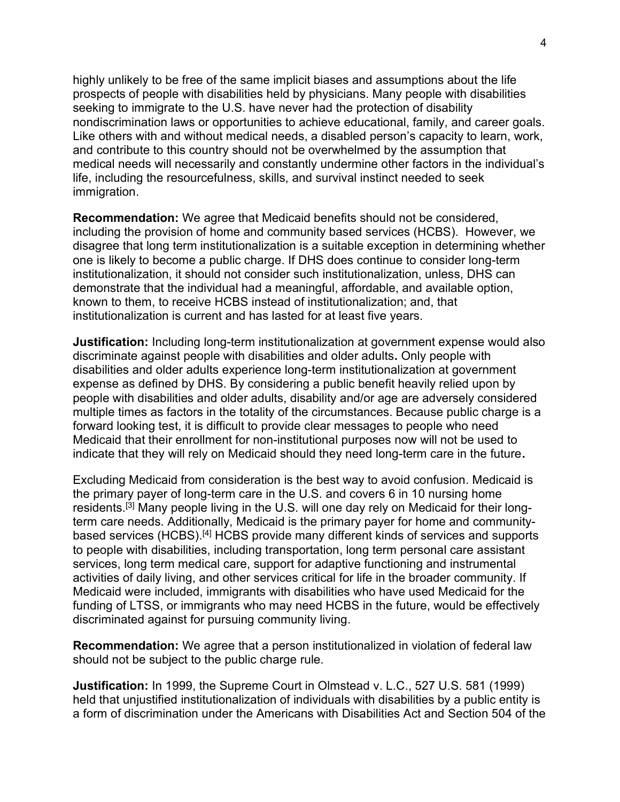highly unlikely to be free of the same implicit biases and assumptions about the life prospects of people with disabilities held by physicians. Many people with disabilities seeking to immigrate to the U.S. have never had the protection of disability nondiscrimination laws or opportunities to achieve educational, family, and career goals. Like others with and without medical needs, a disabled person's capacity to learn, work, and contribute to this country should not be overwhelmed by the assumption that medical needs will necessarily and constantly undermine other factors in the individual's life, including the resourcefulness, skills, and survival instinct needed to seek immigration.

Recommendation: We agree that Medicaid benefits should not be considered, including the provision of home and community based services (HCBS). However, we disagree that long term institutionalization is a suitable exception in determining whether one is likely to become a public charge. If DHS does continue to consider long-term institutionalization, it should not consider such institutionalization, unless, DHS can demonstrate that the individual had a meaningful, affordable, and available option, known to them, to receive HCBS instead of institutionalization; and, that institutionalization is current and has lasted for at least five years.

**Justification:** Including long-term institutionalization at government expense would also discriminate against people with disabilities and older adults. Only people with disabilities and older adults experience long-term institutionalization at government expense as defined by DHS. By considering a public benefit heavily relied upon by people with disabilities and older adults, disability and/or age are adversely considered multiple times as factors in the totality of the circumstances. Because public charge is a forward looking test, it is difficult to provide clear messages to people who need Medicaid that their enrollment for non-institutional purposes now will not be used to indicate that they will rely on Medicaid should they need long-term care in the future.

Excluding Medicaid from consideration is the best way to avoid confusion. Medicaid is the primary payer of long-term care in the U.S. and covers 6 in 10 nursing home residents.[3] Many people living in the U.S. will one day rely on Medicaid for their longterm care needs. Additionally, Medicaid is the primary payer for home and communitybased services (HCBS).[4] HCBS provide many different kinds of services and supports to people with disabilities, including transportation, long term personal care assistant services, long term medical care, support for adaptive functioning and instrumental activities of daily living, and other services critical for life in the broader community. If Medicaid were included, immigrants with disabilities who have used Medicaid for the funding of LTSS, or immigrants who may need HCBS in the future, would be effectively discriminated against for pursuing community living.

Recommendation: We agree that a person institutionalized in violation of federal law should not be subject to the public charge rule.

Justification: In 1999, the Supreme Court in Olmstead v. L.C., 527 U.S. 581 (1999) held that unjustified institutionalization of individuals with disabilities by a public entity is a form of discrimination under the Americans with Disabilities Act and Section 504 of the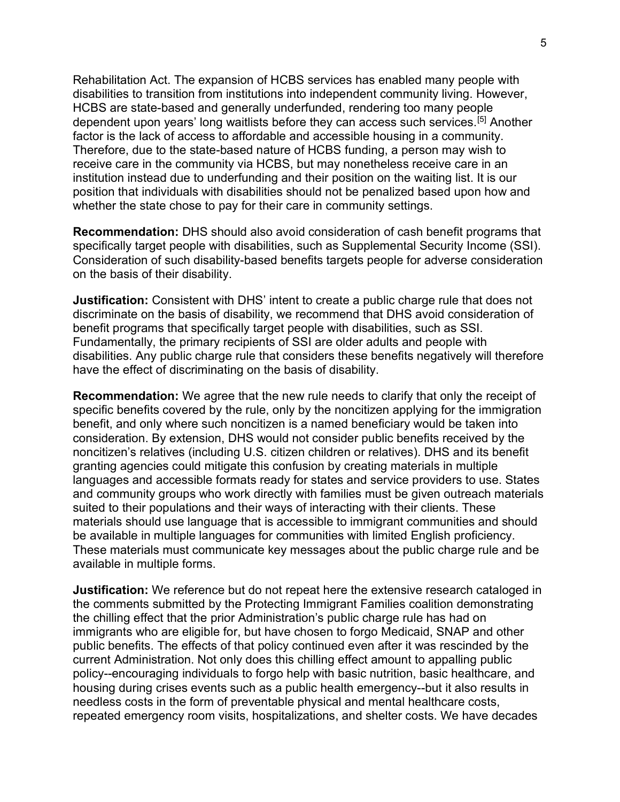Rehabilitation Act. The expansion of HCBS services has enabled many people with disabilities to transition from institutions into independent community living. However, HCBS are state-based and generally underfunded, rendering too many people dependent upon years' long waitlists before they can access such services.[5] Another factor is the lack of access to affordable and accessible housing in a community. Therefore, due to the state-based nature of HCBS funding, a person may wish to receive care in the community via HCBS, but may nonetheless receive care in an institution instead due to underfunding and their position on the waiting list. It is our position that individuals with disabilities should not be penalized based upon how and whether the state chose to pay for their care in community settings.

Recommendation: DHS should also avoid consideration of cash benefit programs that specifically target people with disabilities, such as Supplemental Security Income (SSI). Consideration of such disability-based benefits targets people for adverse consideration on the basis of their disability.

**Justification:** Consistent with DHS' intent to create a public charge rule that does not discriminate on the basis of disability, we recommend that DHS avoid consideration of benefit programs that specifically target people with disabilities, such as SSI. Fundamentally, the primary recipients of SSI are older adults and people with disabilities. Any public charge rule that considers these benefits negatively will therefore have the effect of discriminating on the basis of disability.

Recommendation: We agree that the new rule needs to clarify that only the receipt of specific benefits covered by the rule, only by the noncitizen applying for the immigration benefit, and only where such noncitizen is a named beneficiary would be taken into consideration. By extension, DHS would not consider public benefits received by the noncitizen's relatives (including U.S. citizen children or relatives). DHS and its benefit granting agencies could mitigate this confusion by creating materials in multiple languages and accessible formats ready for states and service providers to use. States and community groups who work directly with families must be given outreach materials suited to their populations and their ways of interacting with their clients. These materials should use language that is accessible to immigrant communities and should be available in multiple languages for communities with limited English proficiency. These materials must communicate key messages about the public charge rule and be available in multiple forms.

**Justification:** We reference but do not repeat here the extensive research cataloged in the comments submitted by the Protecting Immigrant Families coalition demonstrating the chilling effect that the prior Administration's public charge rule has had on immigrants who are eligible for, but have chosen to forgo Medicaid, SNAP and other public benefits. The effects of that policy continued even after it was rescinded by the current Administration. Not only does this chilling effect amount to appalling public policy--encouraging individuals to forgo help with basic nutrition, basic healthcare, and housing during crises events such as a public health emergency--but it also results in needless costs in the form of preventable physical and mental healthcare costs, repeated emergency room visits, hospitalizations, and shelter costs. We have decades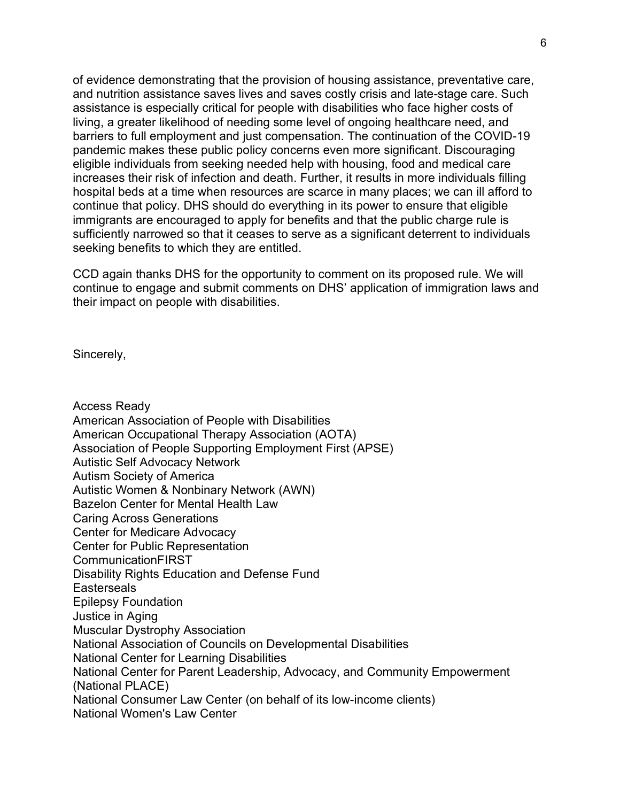of evidence demonstrating that the provision of housing assistance, preventative care, and nutrition assistance saves lives and saves costly crisis and late-stage care. Such assistance is especially critical for people with disabilities who face higher costs of living, a greater likelihood of needing some level of ongoing healthcare need, and barriers to full employment and just compensation. The continuation of the COVID-19 pandemic makes these public policy concerns even more significant. Discouraging eligible individuals from seeking needed help with housing, food and medical care increases their risk of infection and death. Further, it results in more individuals filling hospital beds at a time when resources are scarce in many places; we can ill afford to continue that policy. DHS should do everything in its power to ensure that eligible immigrants are encouraged to apply for benefits and that the public charge rule is sufficiently narrowed so that it ceases to serve as a significant deterrent to individuals seeking benefits to which they are entitled.

CCD again thanks DHS for the opportunity to comment on its proposed rule. We will continue to engage and submit comments on DHS' application of immigration laws and their impact on people with disabilities.

Sincerely,

Access Ready American Association of People with Disabilities American Occupational Therapy Association (AOTA) Association of People Supporting Employment First (APSE) Autistic Self Advocacy Network Autism Society of America Autistic Women & Nonbinary Network (AWN) Bazelon Center for Mental Health Law Caring Across Generations Center for Medicare Advocacy Center for Public Representation **CommunicationFIRST** Disability Rights Education and Defense Fund **Easterseals** Epilepsy Foundation Justice in Aging Muscular Dystrophy Association National Association of Councils on Developmental Disabilities National Center for Learning Disabilities National Center for Parent Leadership, Advocacy, and Community Empowerment (National PLACE) National Consumer Law Center (on behalf of its low-income clients) National Women's Law Center